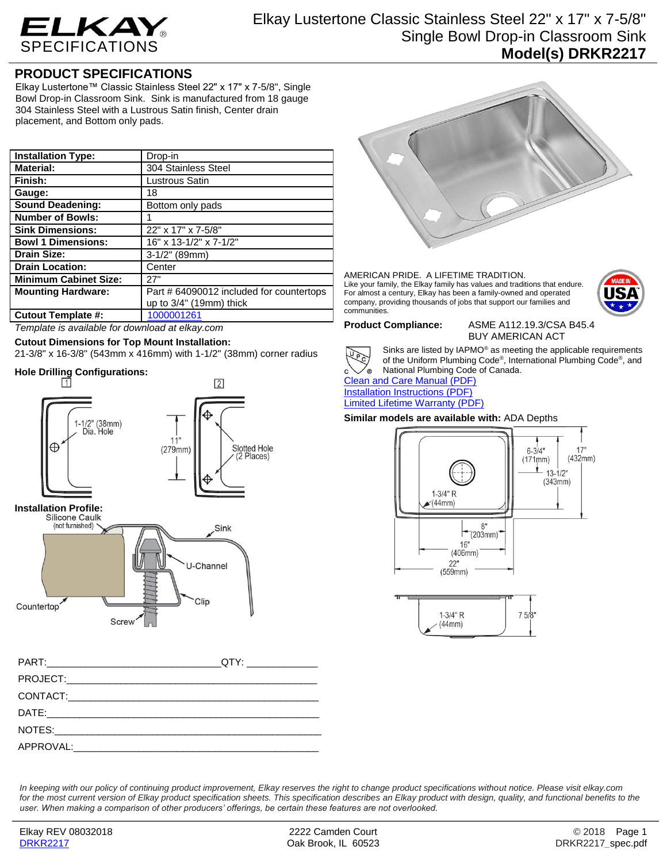

# Elkay Lustertone Classic Stainless Steel 22" x 17" x 7-5/8" Single Bowl Drop-in Classroom Sink **Model(s) DRKR2217**

# **PRODUCT SPECIFICATIONS**

Elkay Lustertone™ Classic Stainless Steel 22" x 17" x 7-5/8", Single Bowl Drop-in Classroom Sink. Sink is manufactured from 18 gauge 304 Stainless Steel with a Lustrous Satin finish, Center drain placement, and Bottom only pads.

| <b>Installation Type:</b>    | Drop-in                                  |
|------------------------------|------------------------------------------|
| <b>Material:</b>             | 304 Stainless Steel                      |
| Finish:                      | Lustrous Satin                           |
| Gauge:                       | 18                                       |
| <b>Sound Deadening:</b>      | Bottom only pads                         |
| <b>Number of Bowls:</b>      |                                          |
| <b>Sink Dimensions:</b>      | 22" x 17" x 7-5/8"                       |
| <b>Bowl 1 Dimensions:</b>    | 16" x 13-1/2" x 7-1/2"                   |
| <b>Drain Size:</b>           | $3-1/2$ " (89mm)                         |
| <b>Drain Location:</b>       | Center                                   |
| <b>Minimum Cabinet Size:</b> | 27"                                      |
| <b>Mounting Hardware:</b>    | Part # 64090012 included for countertops |
|                              | up to $3/4$ " (19mm) thick               |
| <b>Cutout Template #:</b>    | 1000001261                               |

*Template is available for download at elkay.com*

## **Cutout Dimensions for Top Mount Installation:**

21-3/8" x 16-3/8" (543mm x 416mm) with 1-1/2" (38mm) corner radius

## **Hole Drilling Configurations:**



| QTY: _______________ |
|----------------------|
|                      |
|                      |
|                      |
|                      |
|                      |



### AMERICAN PRIDE. A LIFETIME TRADITION. Like your family, the Elkay family has values and traditions that endure. For almost a century, Elkay has been a family-owned and operated company, providing thousands of jobs that support our families and communities.



**Product Compliance:** ASME A112.19.3/CSA B45.4 BUY AMERICAN ACT



Sinks are listed by IAPMO® as meeting the applicable requirements of the Uniform Plumbing Code® , International Plumbing Code® , and National Plumbing Code of Canada.

[Clean and Care Manual \(PDF\)](http://www.elkay.com/wcsstore/lkdocs/care-cleaning-install-warranty-sheets/residential%20and%20commercial%20care%20%20cleaning.pdf) [Installation Instructions \(PDF\)](http://www.elkay.com/wcsstore/lkdocs/care-cleaning-install-warranty-sheets/74180147.pdf) [Limited Lifetime Warranty](http://www.elkay.com/wcsstore/lkdocs/care-cleaning-install-warranty-sheets/residential%20sinks%20warranty.pdf) (PDF)

## **Similar models are available with:** ADA Depths





*In keeping with our policy of continuing product improvement, Elkay reserves the right to change product specifications without notice. Please visit elkay.com*  for the most current version of Elkay product specification sheets. This specification describes an Elkay product with design, quality, and functional benefits to the *user. When making a comparison of other producers' offerings, be certain these features are not overlooked.*